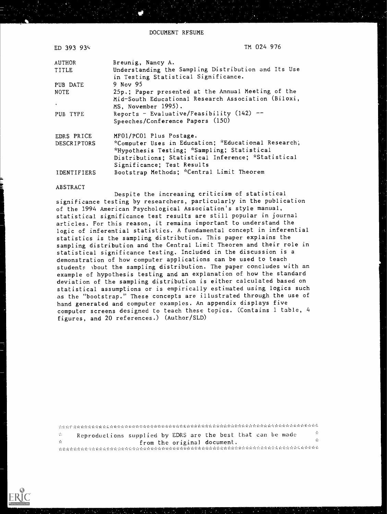DOCUMENT RESUME

| ED 393 935         | TM 024 976                                                                                                                                                                             |
|--------------------|----------------------------------------------------------------------------------------------------------------------------------------------------------------------------------------|
| AUTHOR             | Breunig, Nancy A.                                                                                                                                                                      |
| TITLE              | Understanding the Sampling Distribution and Its Use<br>in Testing Statistical Significance.                                                                                            |
| PUB DATE           | 9 Nov 95                                                                                                                                                                               |
| <b>NOTE</b>        | 25p.; Paper presented at the Annual Meeting of the<br>Mid-South Educational Research Association (Biloxi,                                                                              |
|                    | MS, November 1995).                                                                                                                                                                    |
| PUB TYPE           | Reports - Evaluative/Feasibility $(142)$ --<br>Speeches/Conference Papers (150)                                                                                                        |
| EDRS PRICE         | MF01/PC01 Plus Postage.                                                                                                                                                                |
| <b>DESCRIPTORS</b> | *Computer Uses in Education; *Educational Research,<br>*Hypothesis Testing; *Sampling; Statistical<br>Distributions; Statistical Inference; *Statistical<br>Significance; Test Results |
| IDENTIFIERS        | Bootstrap Methods; *Central Limit Theorem                                                                                                                                              |

#### **ABSTRACT**

Despite the increasing criticism of statistical significance testing by researchers, particularly in the publication of the 1994 American Psychological Association's style manual, statistical significance test results are still popular in journal articles. For this reason, it remains important to understand the logic of inferential statistics. A fundamental concept in inferential statistics is the sampling distribution. This paper explains the sampling distribution and the Central Limit Theorem and their role in statistical significance testing. Included in the discussion is a demonstration of how computer applications can be used to teach students about the sampling distribution. The paper concludes with an example of hypothesis testing and an explanation of how the standard deviation of the sampling distribution is either calculated based on statistical assumptions or is empirically estimated using logics such as the "bootstrap." These concepts are illustrated through the use of hand generated and computer examples. An appendix displays five computer screens designed to teach these topics. (Contains 1 table, 4 figures, and 20 references.) (Author/SLD)

 $\mathcal{A}_{\mathcal{X}}$ 臺 Reproductions supplied by EDRS are the best that can be made  $\mathcal{L}$ from the original document.  $\mathcal{M}$ 

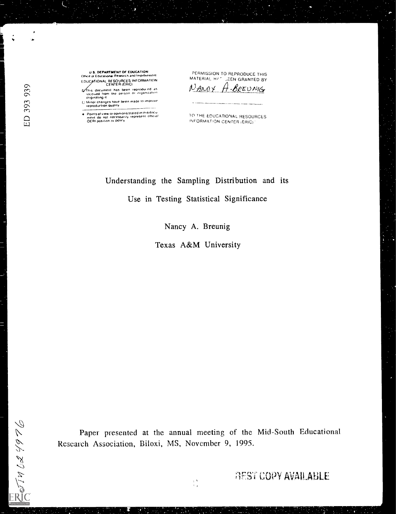U.S. DEPARTMENT OF EDUCATION<br>Ofice of Educational Research and Improvement EDUCATIONAL RESOURCES INFORMATION

This document has been reproduced as<br>recoived from the person or organization<br>originating it

Congineously in<br>[] Minor changes have been made to improve<br>| reproduction quality

Points of view or opinions stated in this document do not necessarily represent official<br>ment do not necessarily represent official<br>OERI position or policy

PERMISSION TO REPRODUCE THIS MATERIAL H/ C JEEN GRANTED BY NANCY 4.BREUNIG

TO THE EDUCATIONAL RESOURCES INFORMATION CENTER (ERIC)

Understanding the Sampling Distribution and its Use in Testing Statistical Significance

Nancy A. Breunig

Texas A&M University

Paper presented at the annual meeting of the Mid-South Educational Research Association, Biloxi, MS, November 9, 1995.

 $\frac{1}{2}$  )

 $\Box$ 

 $\frac{1}{2}$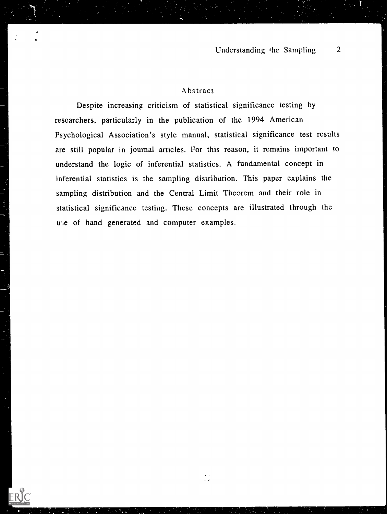## Abstract

Despite increasing criticism of statistical significance testing by researchers, particularly in the publication of the 1994 American Psychological Association's style manual, statistical significance test results are still popular in journal articles. For this reason, it remains important to understand the logic of inferential statistics. A fundamental concept in inferential statistics is the sampling distribution. This paper explains the sampling distribution and the Central Limit Theorem and their role in statistical significance testing. These concepts are illustrated through the use of hand generated and computer examples.

 $\frac{1}{\sqrt{2}}$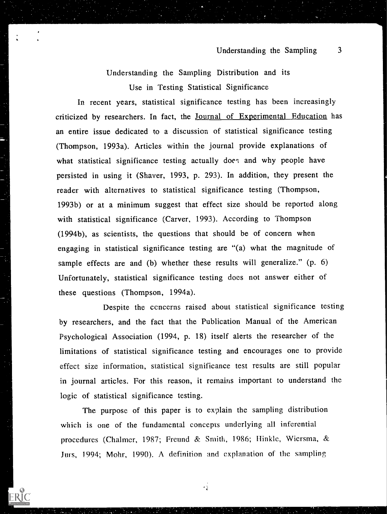Understanding the Sampling Distribution and its Use in Testing Statistical Significance

In recent years, statistical significance testing has been increasingly criticized by researchers. In fact, the Journal of Experimental Education has an entire issue dedicated to a discussion of statistical significance testing (Thompson, 1993a). Articles within the journal provide explanations of what statistical significance testing actually does and why people have persisted in using it (Shaver, 1993, p. 293). In addition, they present the reader with alternatives to statistical significance testing (Thompson, 1993b) or at a minimum suggest that effect size should be reported along with statistical significance (Carver, 1993). According to Thompson (1994b), as scientists, the questions that should be of concern when engaging in statistical significance testing are "(a) what the magnitude of sample effects are and (b) whether these results will generalize." (p. 6) Unfortunately, statistical significance testing does not answer either of these questions (Thompson, 1994a).

Despite the cencerns raised about statistical significance testing by researchers, and the fact that the Publication Manual of the American Psychological Association (1994, p. 18) itself alerts the researcher of the limitations of statistical significance testing and encourages one to provide effect size information, statistical significance test results are still popular in journal articles. For this reason, it remains important to understand the logic of statistical significance testing.

The purpose of this paper is to explain the sampling distribution which is one of the fundamental concepts underlying all inferential procedures (Chalmer, 1987; Freund & Smith, 1986; Hinkle, Wiersma, & Jurs, 1994; Mohr, 1990). A definition and explanation of the sampling

 $\frac{1}{2}$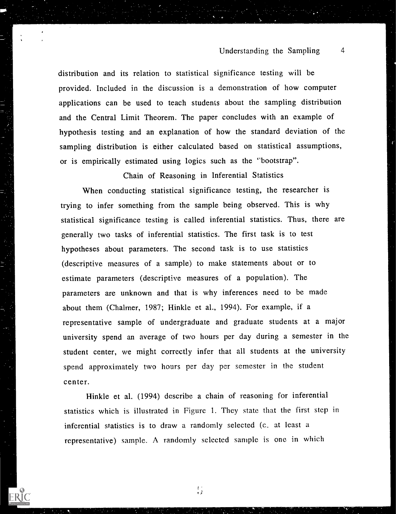#### Understanding the Sampling 4

distribution and its relation to statistical significance testing will be provided. Included in the discussion is a demonstration of how computer applications can be used to teach students about the sampling distribution and the Central Limit Theorem. The paper concludes with an example of hypothesis testing and an explanation of how the standard deviation of the sampling distribution is either calculated based on statistical assumptions, or is empirically estimated using logics such as the "bootstrap".

Chain of Reasoning in Inferential Statistics

When conducting statistical significance testing, the researcher is trying to infer something from the sample being observed. This is why statistical significance testing is called inferential statistics. Thus, there are generally two tasks of inferential statistics. The first task is to test hypotheses about parameters. The second task is to use statistics (descriptive measures of a sample) to make statements about or to estimate parameters (descriptive measures of a population). The parameters are unknown and that is why inferences need to be made about them (Chalmer, 1987; Hinkle et al., 1994). For example, if a representative sample of undergraduate and graduate students at a major university spend an average of two hours per day during a semester in the student center, we might correctly infer that all students at the university spend approximately two hours per day per semester in the student center.

Hinkle et al. (1994) describe a chain of reasoning for inferential statistics which is illustrated in Figure 1. They state that the first step in inferential statistics is to draw a randomly selected (c\_ at least a representative) sample. A randomly selected sample is one in which

 $\binom{1}{2}$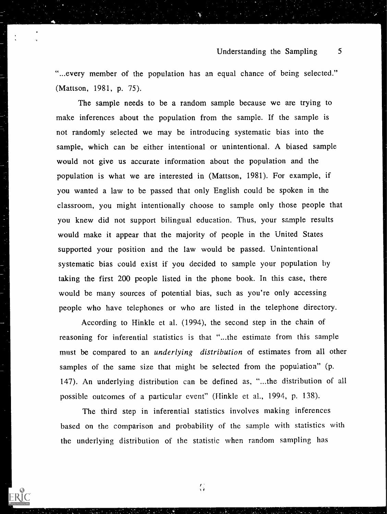#### Understanding the Sampling 5

"...every member of the population has an equal chance of being selected." (Mattson, 1981, p. 75).

The sample needs to be a random sample because we are trying to make inferences about the population from the sample. If the sample is not randomly selected we may be introducing systematic bias into the sample, which can be either intentional or unintentional. A biased sample would not give us accurate information about the population and the population is what we are interested in (Mattson, 1981). For example, if you wanted a law to be passed that only English could be spoken in the classroom, you might intentionally choose to sample only those people that you knew did not support bilingual education. Thus, your sample results would make it appear that the majority of people in the United States supported your position and the law would be passed. Unintentional systematic bias could exist if you decided to sample your population by taking the first 200 people listed in the phone book. In this case, there would be many sources of potential bias, such as you're only accessing people who have telephones or who are listed in the telephone directory.

According to Hinkle et al. (1994), the second step in the chain of reasoning for inferential statistics is that "...the estimate from this sample must be compared to an *underlying distribution* of estimates from all other samples of the same size that might be selected from the popuiation" (p. 147). An underlying distribution can be defined as, "...the distribution of all possible outcomes of a particular event" (Hinkle et al., 1994, p. 138).

The third step in inferential statistics involves making inferences based on the comparison and probability of the sample with statistics with the underlying distribution of the statistic when random sampling has

 $\binom{1}{3}$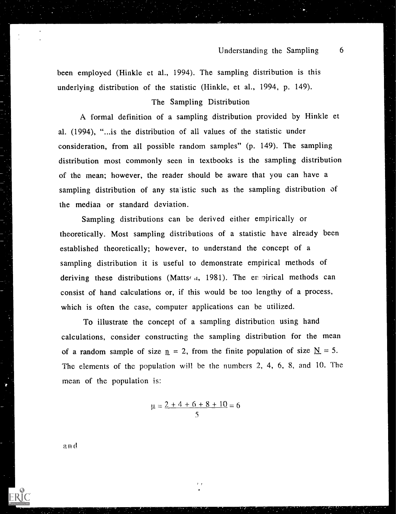been employed (Hinkle et al., 1994). The sampling distribution is this underlying distribution of the statistic (Hinkle, et al., 1994, p. 149).

#### The Sampling Distribution

A formal definition of a sampling distribution provided by Hinkle et al. (1994), "...is the distribution of all values of the statistic under consideration, from all possible random samples" (p. 149). The sampling distribution most commonly seen in textbooks is the sampling distribution of the mean; however, the reader should be aware that you can have a sampling distribution of any statistic such as the sampling distribution of the median or standard deviation.

Sampling distributions can be derived either empirically or theoretically. Most sampling distributions of a statistic have already been established theoretically; however, to understand the concept of a sampling distribution it is useful to demonstrate empirical methods of deriving these distributions (Matts $(4, 1981)$ . The en pirical methods can consist of hand calculations or, if this would be too lengthy of a process, which is often the case, computer applications can be utilized.

To illustrate the concept of a sampling distribution using hand calculations, consider constructing the sampling distribution for the mean of a random sample of size  $n = 2$ , from the finite population of size  $N = 5$ . The elements of the population will be the numbers 2, 4, 6, 8, and 10. The mean of the population is:

$$
\mu = \frac{2+4+6+8+10}{5} = 6
$$

 $\ddot{i}$ 

a n d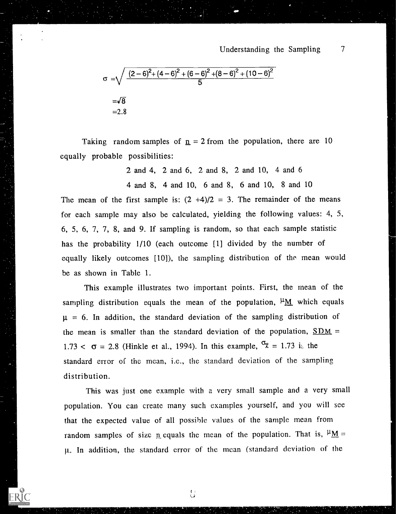$$
\sigma = \sqrt{\frac{(2-6)^2 + (4-6)^2 + (6-6)^2 + (8-6)^2 + (10-6)^2}{5}}
$$
  
=\sqrt{8}  
=2.8

Taking random samples of  $n = 2$  from the population, there are 10 equally probable possibilities:

> 2 and 4, 2 and 6, 2 and 8, 2 and 10, 4 and 6 4 and 8, 4 and 10, 6 and 8, 6 and 10, 8 and 10

The mean of the first sample is:  $(2 +4)/2 = 3$ . The remainder of the means for each sample may also be calculated, yielding the following values: 4, 5, 6, 5, 6, 7, 7, 8, and 9. If sampling is random, so that each sample statistic has the probability 1/10 (each outcome [1] divided by the number of equally likely outcomes [10]), the sampling distribution of the mean would be as shown in Table 1.

This example illustrates two important points. First, the mean of the sampling distribution equals the mean of the population,  $\mu_{\underline{M}}$  which equals  $\mu = 6$ . In addition, the standard deviation of the sampling distribution of the mean is smaller than the standard deviation of the population,  $SDM =$ 1.73  $\lt \sigma$  = 2.8 (Hinkle et al., 1994). In this example,  $\sigma_{\overline{X}}$  = 1.73 is the standard error of the mean, i.e., the standard deviation of the sampling distribution.

This was just one example with a very small sample and a very small population. You can create many such examples yourself, and you will see that the expected value of all possible values of the sample mean from random samples of size n equals the mean of the population. That is,  $\mu_{\text{M}} =$ g. In addition, the standard error of the mean (standard deviation of the

د )<br>فريا

ERIC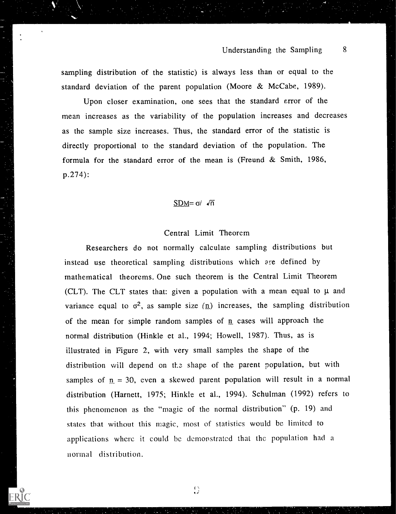sampling distribution of the statistic) is always less than or equal to the standard deviation of the parent population (Moore & McCabe, 1989).

Upon closer examination, one sees that the standard error of the mean increases as the variability of the population increases and decreases as the sample size increases. Thus, the standard error of the statistic is directly proportional to the standard deviation of the population. The formula for the standard error of the mean is (Freund & Smith, 1986, p.274):

### $SDM = \sigma / \sqrt{n}$

#### Central Limit Theorem

Researchers do not normally calculate sampling distributions but instead use theoretical sampling distributions which are defined by mathematical theorems. One such theorem is the Central Limit Theorem (CLT). The CLT states that: given a population with a mean equal to  $\mu$  and variance equal to  $\sigma^2$ , as sample size (n) increases, the sampling distribution of the mean for simple random samples of  $n$  cases will approach the normal distribution (Hinkle et al., 1994; Howell, 1987). Thus, as is illustrated in Figure 2, with very small samples the shape of the distribution will depend on the shape of the parent population, but with samples of  $n = 30$ , even a skewed parent population will result in a normal distribution (Harnett, 1975; Hinkle et al., 1994). Schulman (1992) refers to this phenomenon as the "magic of the normal distribution" (p. 19) and states that without this magic, most of statistics would be limited to applications where it could be demonstrated that the population had a normal distribution.

 $\binom{8}{1}$ 

ERIC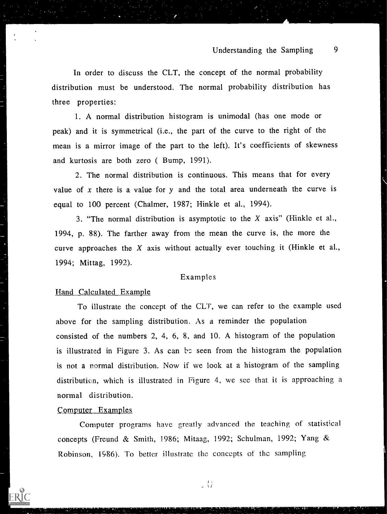# Understanding the Sampling 9

In order to discuss the CLT, the concept of the normal probability distribution must be understood. The normal probability distribution has three properties:

1. A normal distribution histogram is unimodal (has one mode or peak) and it is symmetrical (i.e., the part of the curve to the right of the mean is a mirror image of the part to the left). It's coefficients of skewness and kurtosis are both zero ( Bump, 1991).

2. The normal distribution is continuous. This means that for every value of x there is a value for  $y$  and the total area underneath the curve is equal to 100 percent (Chalmer, 1987; Hinkle et al., 1994).

3. "The normal distribution is asymptotic to the X axis" (Hinkle et al., 1994, p. 88). The farther away from the mean the curve is, the more the curve approaches the  $X$  axis without actually ever touching it (Hinkle et al., 1994; Mittag, 1992).

#### Examples

#### Hand Calculated Example

To illustrate the concept of the CLT, we can refer to the example used above for the sampling distribution. As a reminder the population consisted of the numbers 2, 4, 6, 8, and 10. A histogram of the population is illustrated in Figure 3. As can be seen from the histogram the population is not a normal distribution. Now if we look at a histogram of the sampling distribution, which is illustrated in Figure 4, we see that it is approaching a normal distribution.

#### Computer Examples

Computer programs have greatly advanced the teaching of statistical concepts (Freund & Smith, 1986; Mitaag, 1992; Schulman, 1992; Yang & Robinson, 1986). To better illustrate the concepts of the sampling

1 ()<br>1 ()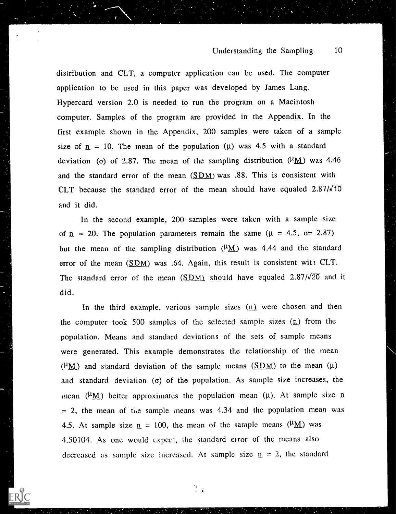distribution and CLT, a computer application can be used. The computer application to be used in this paper was developed by James Lang. Hypercard version 2.0 is needed to run the program on a Macintosh computer. Samples of the program are provided in the Appendix. In the first example shown in the Appendix, 200 samples were taken of a sample size of  $n = 10$ . The mean of the population ( $\mu$ ) was 4.5 with a standard deviation (o) of 2.87. The mean of the sampling distribution ( $\mu_{\text{M}}$ ) was 4.46 and the standard error of the mean  $(SDM)$  was .88. This is consistent with CLT because the standard error of the mean should have equaled  $2.87/\sqrt{10}$ and it did.

In the second example, 200 samples were taken with a sample size of  $n = 20$ . The population parameters remain the same ( $\mu = 4.5$ ,  $\sigma = 2.87$ ) but the mean of the sampling distribution  $(\mu_M)$  was 4.44 and the standard error of the mean  $(SDM)$  was .64. Again, this result is consistent with CLT. The standard error of the mean  $(SDM)$  should have equaled 2.87/ $\sqrt{20}$  and it did.

In the third example, various sample sizes  $(n)$  were chosen and then the computer took 500 samples of the selected sample sizes  $(n)$  from the population. Means and standard deviations of the sets of sample means were generated. This example demonstrates the relationship of the mean ( $\mu$ M) and standard deviation of the sample means ( $\underline{SDM}$ ) to the mean ( $\mu$ ) and standard deviation ( $\sigma$ ) of the population. As sample size increases, the mean ( $\mu_{\text{M}}$ ) better approximates the population mean ( $\mu$ ). At sample size n  $= 2$ , the mean of the sample means was 4.34 and the population mean was 4.5. At sample size  $p = 100$ , the mean of the sample means ( $\mu_{\text{M}}$ ) was 4.50104. As one would expect, the standard error of the means also decreased as sample size increased. At sample size  $n = 2$ , the standard

 $\begin{bmatrix} 1 & & \\ \mathbf{a}_1 & \mathbf{y} \end{bmatrix}$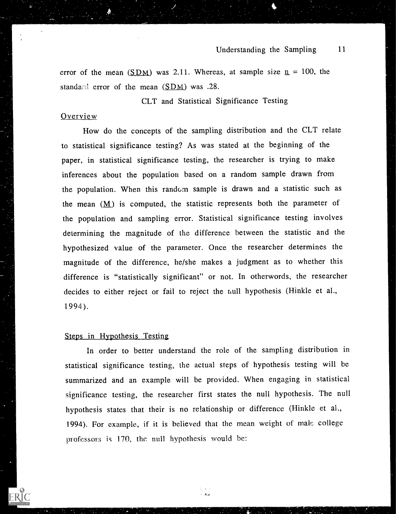error of the mean (SDM) was 2.11. Whereas, at sample size  $n = 100$ , the standard error of the mean  $(SDM)$  was .28.

CLT and Statistical Significance Testing

#### Overview

How do the concepts of the sampling distribution and the CLT relate to statistical significance testing? As was stated at the beginning of the paper, in statistical significance testing, the researcher is trying to make inferences about the population based on a random sample drawn from the population. When this randcm sample is drawn and a statistic such as the mean  $(M)$  is computed, the statistic represents both the parameter of the population and sampling error. Statistical significance testing involves determining the magnitude of the difference between the statistic and the hypothesized value of the parameter. Once the researcher determines the magnitude of the difference, he/she makes a judgment as to whether this difference is "statistically significant" or not. In otherwords, the researcher decides to either reject or fail to reject the null hypothesis (Hinkle et al., 1994 ).

#### Steps in Hypothesis Testing

In order to better understand the role of the sampling distribution in statistical significance testing, the actual steps of hypothesis testing will be summarized and an example will be provided. When engaging in statistical significance testing, the researcher first states the null hypothesis. The null hypothesis states that their is no relationship or difference (Hinkle et al., 1994). For example, if it is believed that the mean weight of male college professors is 170, the null hypothesis would be:

 $\mathcal{L}$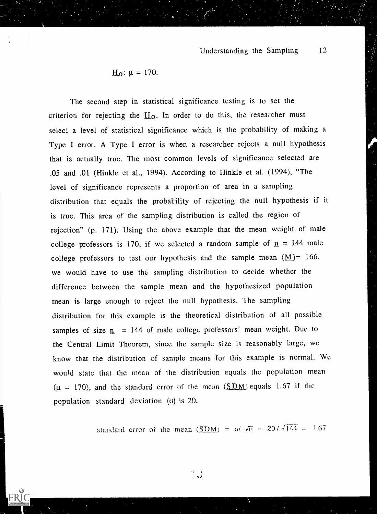$$
\underline{H}_0: \mu = 170.
$$

The second step in statistical significance testing is to set the criterion for rejecting the  $H_0$ . In order to do this, the researcher must select a level of statistical significance which is the probability of making a Type I error. A Type I error is when a researcher rejects a null hypothesis that is actually true. The most common levels of significance selected are .05 and .01 (Hinkle et al., 1994). According to Hinkle et al. (1994), "The level of significance represents a proportion of area in a sampling distribution that equals the probatility of rejecting the null hypothesis if it is true. This area of the sampling distribution is called the region of rejection" (p. 171). Using the above example that the mean weight of male college professors is 170, if we selected a random sample of  $n = 144$  male college professors to test our hypothesis and the sample mean  $(M)$  = 166, we would have to use the sampling distribution to decide whether the difference between the sample mean and the hypothesized population mean is large enough to reject the null hypothesis. The sampling distribution for this example is the theoretical distribution of all possible samples of size  $n = 144$  of male college professors' mean weight. Due to the Central Limit Theorem, since the sample size is reasonably large, we know that the distribution of sample means for this example is normal. We would state that the mean of the distribution equals the population mean  $(\mu = 170)$ , and the standard error of the mean  $(SDM)$  equals 1.67 if the population standard deviation  $(0)$  is 20.

standard error of the mean  $(SDM) = \frac{\alpha}{\sqrt{n}} = \frac{20}{\sqrt{144}} = 1.67$ .

 $\gamma\rightarrow\gamma$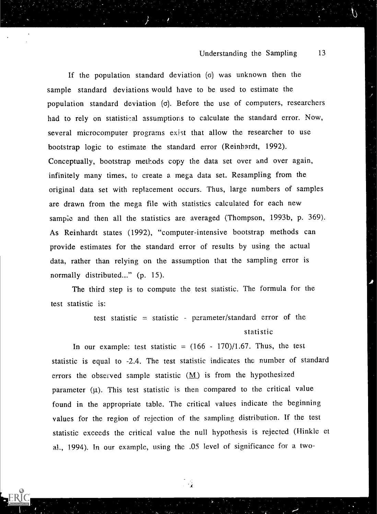If the population standard deviation  $\sigma$  was unknown then the sample standard deviations would have to be used to estimate the population standard deviation  $(\sigma)$ . Before the use of computers, researchers had to rely on statistical assumptions to calculate the standard error. Now, several microcomputer programs exist that allow the researcher to use bootstrap logic to estimate the standard error (Reinhardt, 1992). Conceptually, bootstrap methods copy the data set over and over again, infinitely many times, to create a mega data set. Resampling from the original data set with replacement occurs. Thus, large numbers of samples are drawn from the mega file with statistics calculated for each new sampie and then all the statistics are averaged (Thompson, 1993b, p. 369). As Reinhardt states (1992), "computer-intensive bootstrap methods can provide estimates for the standard error of results by using the actual data, rather than relying on the assumption that the sampling error is normally distributed..." (p. 15).

The third step is to compute the test statistic. The formula for the test statistic is:

> test statistic = statistic - parameter/standard error of the statistic

In our example: test statistic =  $(166 - 170)/1.67$ . Thus, the test statistic is equal to -2.4. The test statistic indicates the number of standard errors the observed sample statistic  $(M)$  is from the hypothesized parameter  $(\mu)$ . This test statistic is then compared to the critical value found in the appropriate table. The critical values indicate the beginning values for the region of rejection of the sampling distribution. If the test statistic exceeds the critical value the null hypothesis is rejected (Hinkle et al., 1994). In our example, using the .05 level of significance for a two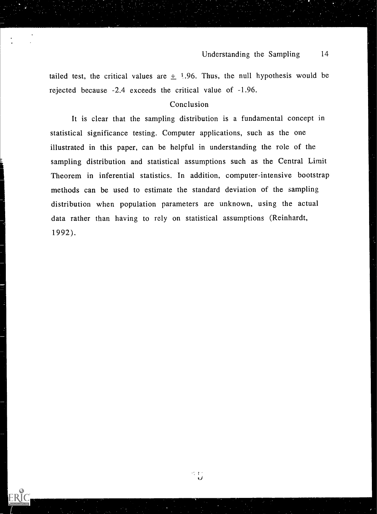tailed test, the critical values are  $\pm$  1.96. Thus, the null hypothesis would be rejected because -2.4 exceeds the critical value of -1.96.

#### Conclusion

It is clear that the sampling distribution is a fundamental concept in statistical significance testing. Computer applications, such as the one illustrated in this paper, can be helpful in understanding the role of the sampling distribution and statistical assumptions such as the Central Limit Theorem in inferential statistics. In addition, computer-intensive bootstrap methods can be used to estimate the standard deviation of the sampling distribution when population parameters are unknown, using the actual data rather than having to rely on statistical assumptions (Reinhardt, 1992).

 $\begin{array}{c} \mathcal{L}^2 & \mathcal{L}^2 \\ \mathcal{L} & \mathcal{L} \end{array}$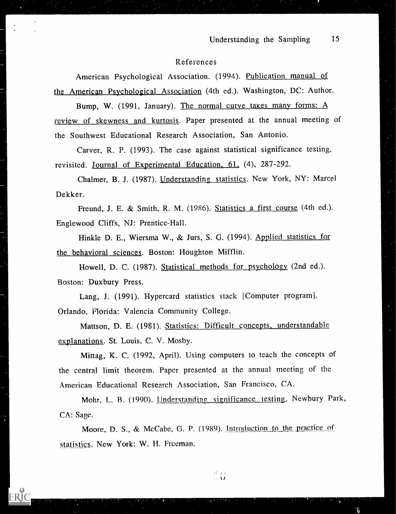#### References

American Psychological Association. (1994). Publication manual of the American Psychological Association (4th ed.). Washington, DC: Author.

Bump, W. (1991, January). The normal curve takes many forms: A review of skewness and kurtosis. Paper presented at the annual meeting of the Southwest Educational Research Association, San Antonio.

Carver, R. P. (1993). The case against statistical significance testing, revisited. Journal of Experimental Education, 61, (4), 287-292.

Chalmer, B. J. (1987). Understanding statistics. New York, NY: Marcel Dekker.

Freund, J. E. & Smith, R. M. (1986). Statistics a first course (4th ed.). Englewood Cliffs, NJ: Prentice-Hall.

Hinkle D. E., Wiersma W., & Jurs, S. G. (1994). Applied statistics for the behavioral sciences. Boston: Houghton Mifflin.

Howell, D. C. (1987). Statistical methods for psychology (2nd ed.). Boston: Duxbury Press.

Lang, J. (1991). Hypercard statistics stack [Computer program]. Orlando, Florida: Valencia Community College.

Mattson, D. E. (1981). Statistics: Difficult concepts, understandable explanations. St. Louis, C. V. Mosby.

Mittag, K. C. (1992, April). Using computers to teach the concepts of the central limit theorem. Paper presented at the annual meeting of the American Educational Research Association, San Francisco, CA.

Mohr, L. B. (1990). Understanding significance testing. Newbury Park, CA: Sage.

Moore, D. S., & McCabe, G. P. (1989). Introduction to the practice of statistics. New York: W. H. Freeman.

 $\overset{\triangle}{\cdot} \mathbf{G}$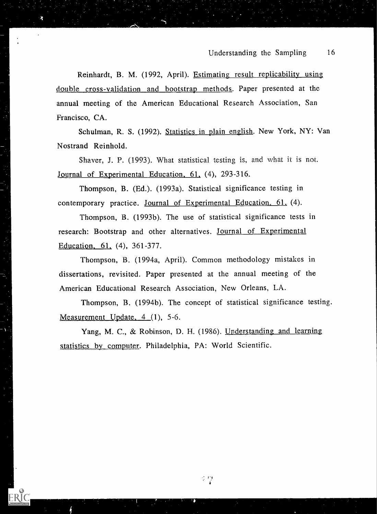Reinhardt, B. M. (1992, April). Estimating result replicability using double cross-validation and bootstrap methods. Paper presented at the annual meeting of the American Educational Research Association, San Francisco, CA.

Schulman, R. S. (1992). Statistics in plain english. New York, NY: Van Nostrand Reinhold.

Shaver, J. P. (1993). What statistical testing is, and what it is not. <u>Journal of Experimental Education,  $61$ ,</u>  $(4)$ , 293-316.

Thompson, B. (Ed.). (1993a). Statistical significance testing in contemporary practice. Journal of Experimental Education, 61, (4).

Thompson, B. (1993b). The use of statistical significance tests in research: Bootstrap and other alternatives. Journal of Experimental Education,  $61, (4), 361-377.$ 

Thompson, B. (1994a, April). Common methodology mistakes in dissertations, revisited. Paper presented at the annual meeting of the American Educational Research Association, New Orleans, LA.

Thompson, B. (1994b). The concept of statistical significance testing. Measurement Update,  $4(1)$ , 5-6.

Yang, M. C., & Robinson, D. H. (1986). Understanding and learning statistics by computer. Philadelphia, PA: World Scientific.

912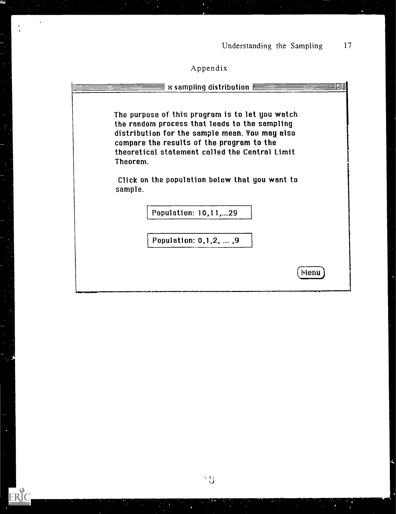# Appendix

 $\ddot{\phantom{0}}$ 

 $\ddot{\cdot}$ 

ERIC<br>AFLITTENT PROVIDED BY ERIC

|          | The purpose of this program is to let you watch<br>the random process that leads to the sampling |
|----------|--------------------------------------------------------------------------------------------------|
|          | distribution for the sample mean. You may also                                                   |
|          | compare the results of the program to the<br>theoretical statement called the Central Limit      |
| Theorem. |                                                                                                  |
| sample.  | Click on the population below that you want to                                                   |
|          | Population: 10,11,29                                                                             |
|          |                                                                                                  |
|          | Population: 0,1,2,  ,9                                                                           |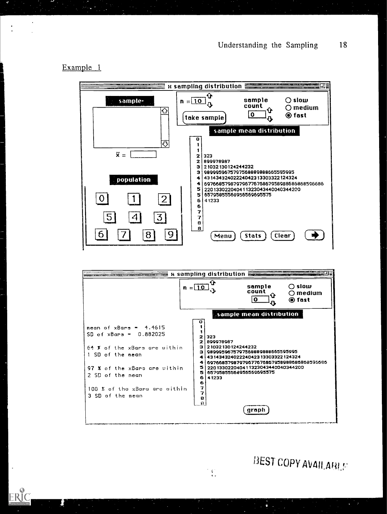Example <sup>1</sup>





 $\mathfrak{c}$ 

BEST COPY AVAILABLE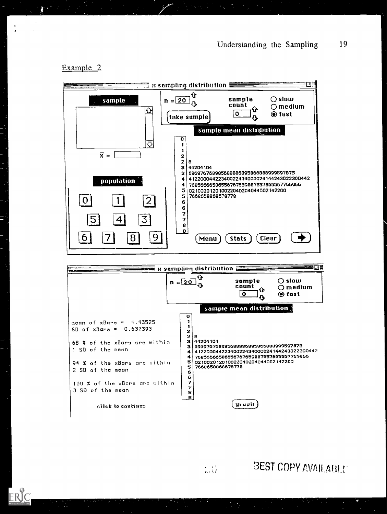$\hat{\textbf{r}}$   $\in$   $\mathbb{C}% ^{d}[z]$  medium  $\mathbf{B}$   $\bullet$  fast

 $Clear$ )  $\Box$ 

 $\frac{0}{2}$  O fast

C) slow C) medium

 $\sim \frac{5}{3}$ 

sample  $\bigcirc$  slow<br>count  $\bigcirc$  medi

#### sample mean distrtion  $\overline{\mathfrak{o}}$ د, 1 1 $\overline{x}$  =  $\begin{array}{c|c} 2 & 8 \\ 2 & 8 \end{array}$  $\cdot$   $\cdot$  $2|8$ 8 3 | 44204 104 44204104 3 696976758985688886895866888999597875 population 4 41220004422340022434000024144243022300442 4 79856655585556767559887657865567766966 5 021002012010022040204044002142200 5 7658659868578778 LI Li L:=1 ELJ 6  $6 \mid$ 7 | 1 7  $\begin{array}{c} \mathbf{e} \\ \mathbf{e} \end{array}$  (Menu Lti 1=-J **Stats** I-I sampling distribution R1.11 sampling distribution  $n = 20 \frac{v}{v}$  sample  $\frac{\text{count}}{\text{count}}$ sample mean distribution Ő  $\begin{array}{c} \textbf{1} \\ \textbf{1} \end{array}$ mean of  $\times$ Bars = 4.43525 SD of  $\times$ Bars = 0.637393  $\begin{vmatrix} 1 \\ 2 \end{vmatrix}$  $2|8$ 3 8 44204104 68 **X** of the xBars are within  $\begin{bmatrix} 3 & 44 \\ 2 & 6 \end{bmatrix}$ 3 696976758985688886895856888999597875 <sup>1</sup> SO of tho mean 4 41220004422340022434000024144243022300442 76855666586556767559887657865567765956 5 021002012010022040204044002142200 94 % of the xBars are within  $\begin{bmatrix} 5 & 02 \ 0 & 0 & 01 \end{bmatrix}$ 5 7668658868678778 2 SD of the mean 5  $\mathbf{6}$   $\vert$ 7<br>7 100 % of the xBars are within  $\begin{bmatrix} 7 \end{bmatrix}$ 3 SO of the mean  $\boldsymbol{\mathsf{B}}$  $\mathbf{B}$ graph click to contiaso

 $\bigtriangledown$ 

sample

#### Example 2

**3EST COPY AVAILABLE** 

 $\frac{C}{K\ell} \frac{D}{\ell} \frac{\Delta}{\ell}$ 

take sample)

 $n = 20 \frac{G}{R}$ 

sampling distribution LT\_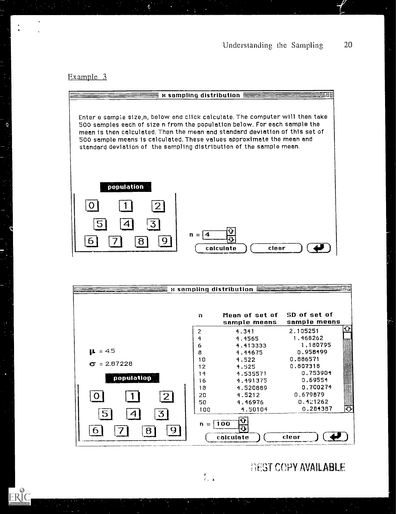Example 3

 $\dot{Q}$ 

ERIC



|                   |                | $\kappa$ sampling distribution $\equiv$ |                              |
|-------------------|----------------|-----------------------------------------|------------------------------|
|                   | m              | Mean of set of<br>sample means          | SD of set of<br>sample means |
|                   | 2              | 4.341                                   | 2.105251                     |
|                   | 4              | 4.4565                                  | 1.468262                     |
|                   | 6              | 4.413333                                | 1.180795                     |
| $\mu$ = 4.5       | 8              | 4.44675                                 | 0.958499                     |
|                   | 10             | 4.522                                   | 0.886571                     |
| $= 2.87228$<br>СS | 12             | 4.525                                   | 0.807318                     |
|                   | 14             | 4.535571                                | 0.753904                     |
| population        | îб             | 4.491375                                | 0.69554                      |
|                   | 18             | 4.520889                                | 0.700274                     |
| $\boxed{2}$       | 20             | 4.5212                                  | 0.679879                     |
|                   | 50             | 4.46976                                 | 0.421262                     |
|                   | 100            | 4.50104                                 | 0.284387                     |
| 3<br>5<br>9<br>ឧ  | $\mathbf{n}$ = | ᡐ<br> 100<br>О<br>colculate             | clear                        |

 $f_{\rm{gas}}$ 

BEST COPY AVAILABLE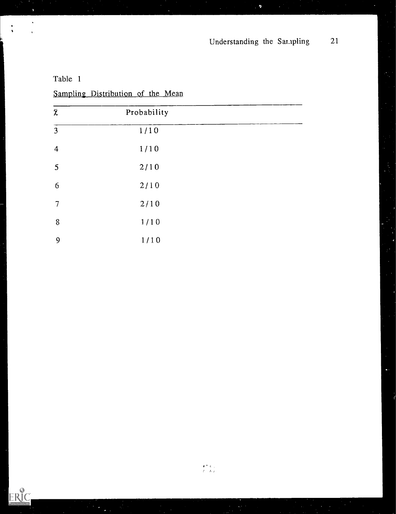þ

| _______          |             |  |  |  |
|------------------|-------------|--|--|--|
| $\bar{\chi}$     | Probability |  |  |  |
| 3                | 1/10        |  |  |  |
| $\boldsymbol{4}$ | 1/10        |  |  |  |
| 5                | 2/10        |  |  |  |
| 6                | 2/10        |  |  |  |
| 7                | 2/10        |  |  |  |
| $\, 8$           | 1/10        |  |  |  |
| 9                | 1/10        |  |  |  |

Table <sup>1</sup>

 $\ddot{\phantom{1}}$ 

 $\ddot{\phantom{1}}$ 

ERIC

Sampling Distribution of the Mean

 $\begin{array}{c} \left(\begin{array}{cc} \bullet & \ast & \ast \\ \bullet & \bullet & \ast \end{array}\right) \\ \left(\begin{array}{cc} \bullet & \ast & \ast \end{array}\right) \end{array}$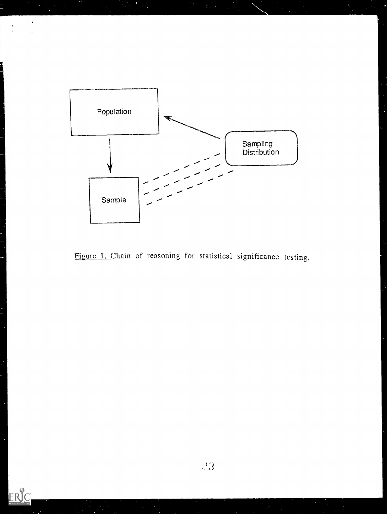

 $\frac{1}{2}$ 

ERIC

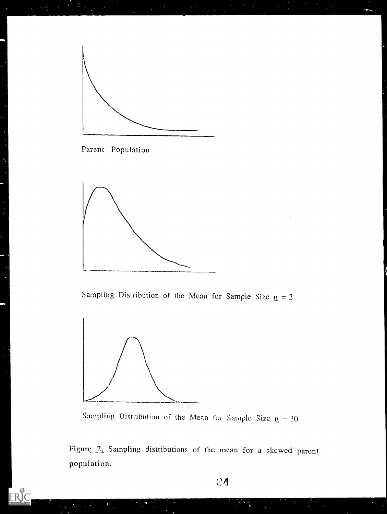



J

ś,

ERIC



Sampling Distribution of the Mean for Sample Size  $n = 2$ 



Sampling Distribution of the Mean for Sample Size  $n = 30$ 

Figure 2. Sampling distributions of the mean for a skewed parent population.